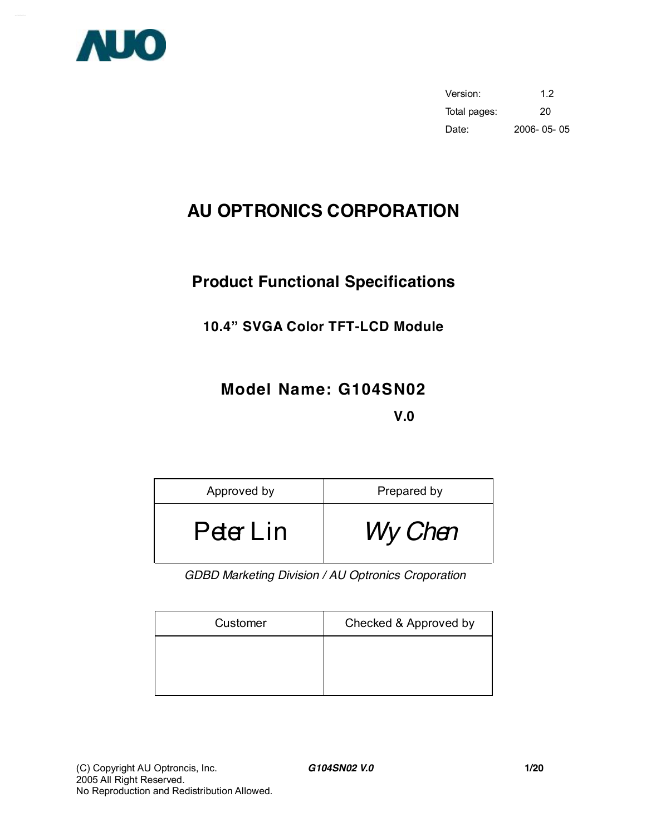

Version: 1.2 Total pages: 20 Date: 2006- 05- 05

# **AU OPTRONICS CORPORATION**

## **Product Functional Specifications**

## **10.4" SVGA Color TFT-LCD Module**

# **Model Name: G104SN02 V.0**

| Approved by | Prepared by |
|-------------|-------------|
| Peter Lin   | Wy Chen     |

*GDBD Marketing Division / AU Optronics Croporation* 

| Customer | Checked & Approved by |
|----------|-----------------------|
|          |                       |
|          |                       |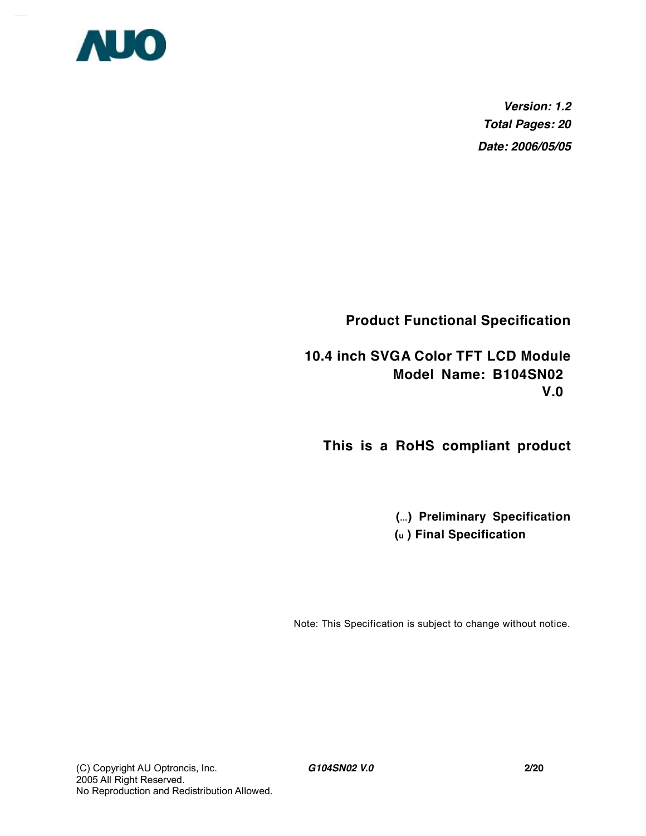

*Version: 1.2 Total Pages: 20 Date: 2006/05/05*

**Product Functional Specification** 

**10.4 inch SVGA Color TFT LCD Module Model Name: B104SN02 V.0** 

**This is a RoHS compliant product** 

**(...) Preliminary Specification (u ) Final Specification**

Note: This Specification is subject to change without notice.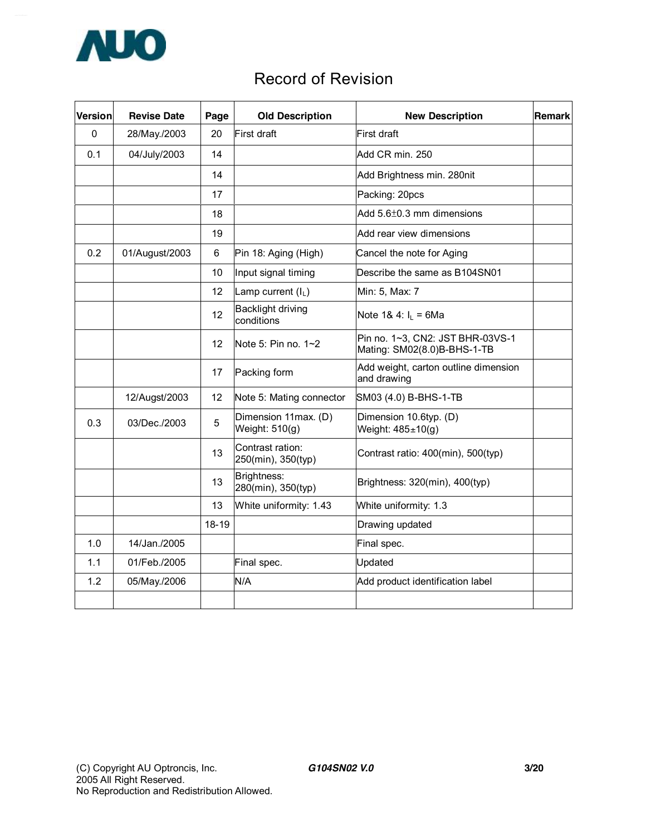

## Record of Revision

| <b>Version</b> | <b>Revise Date</b> | Page      | <b>Old Description</b>                 | <b>New Description</b>                                          | Remark |
|----------------|--------------------|-----------|----------------------------------------|-----------------------------------------------------------------|--------|
| 0              | 28/May./2003       | 20        | First draft                            | First draft                                                     |        |
| 0.1            | 04/July/2003       | 14        |                                        | Add CR min. 250                                                 |        |
|                |                    | 14        |                                        | Add Brightness min. 280nit                                      |        |
|                |                    | 17        |                                        | Packing: 20pcs                                                  |        |
|                |                    | 18        |                                        | Add $5.6\pm0.3$ mm dimensions                                   |        |
|                |                    | 19        |                                        | Add rear view dimensions                                        |        |
| 0.2            | 01/August/2003     | 6         | Pin 18: Aging (High)                   | Cancel the note for Aging                                       |        |
|                |                    | 10        | Input signal timing                    | Describe the same as B104SN01                                   |        |
|                |                    | 12        | Lamp current $(I_L)$                   | Min: 5, Max: 7                                                  |        |
|                |                    | 12        | Backlight driving<br>conditions        | Note 1& 4: $I_L = 6Ma$                                          |        |
|                |                    | 12        | Note 5: Pin no. $1~2$                  | Pin no. 1~3, CN2: JST BHR-03VS-1<br>Mating: SM02(8.0)B-BHS-1-TB |        |
|                |                    | 17        | Packing form                           | Add weight, carton outline dimension<br>and drawing             |        |
|                | 12/Augst/2003      | 12        | Note 5: Mating connector               | SM03 (4.0) B-BHS-1-TB                                           |        |
| 0.3            | 03/Dec./2003       | 5         | Dimension 11max. (D)<br>Weight: 510(g) | Dimension 10.6typ. (D)<br>Weight: $485 \pm 10$ (g)              |        |
|                |                    | 13        | Contrast ration:<br>250(min), 350(typ) | Contrast ratio: 400(min), 500(typ)                              |        |
|                |                    | 13        | Brightness:<br>280(min), 350(typ)      | Brightness: 320(min), 400(typ)                                  |        |
|                |                    | 13        | White uniformity: 1.43                 | White uniformity: 1.3                                           |        |
|                |                    | $18 - 19$ |                                        | Drawing updated                                                 |        |
| 1.0            | 14/Jan./2005       |           |                                        | Final spec.                                                     |        |
| 1.1            | 01/Feb./2005       |           | Final spec.                            | Updated                                                         |        |
| 1.2            | 05/May./2006       |           | N/A                                    | Add product identification label                                |        |
|                |                    |           |                                        |                                                                 |        |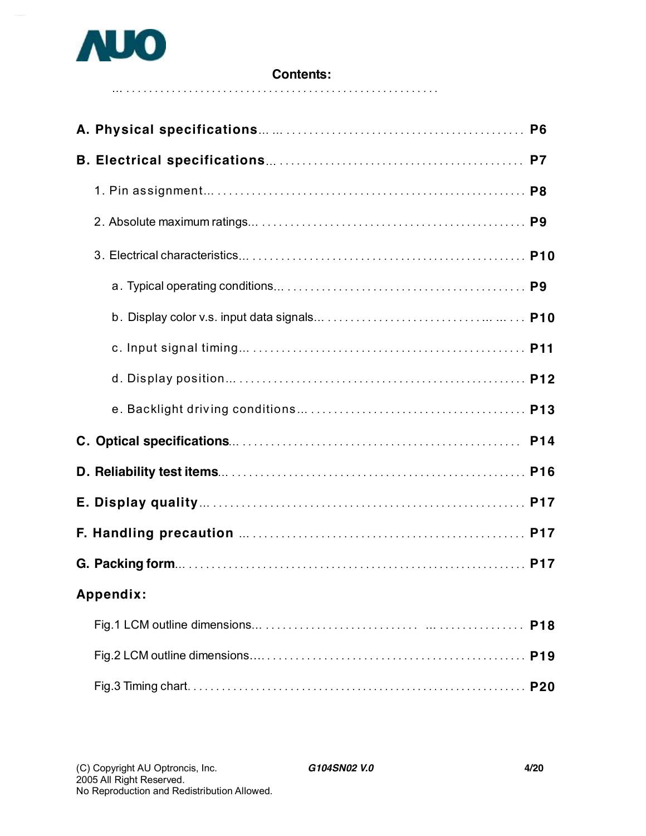

### **Contents:**

| Appendix: |            |
|-----------|------------|
|           | <b>P18</b> |
|           |            |
|           |            |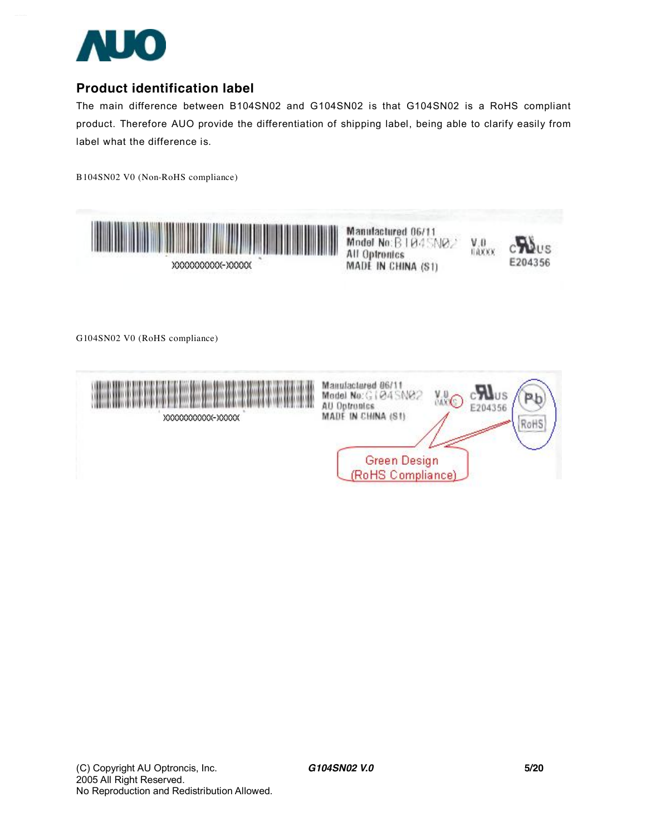

## **Product identification label**

The main difference between B104SN02 and G104SN02 is that G104SN02 is a RoHS compliant product. Therefore AUO provide the differentiation of shipping label, being able to clarify easily from label what the difference is.

B104SN02 V0 (Non-RoHS compliance)



XXXXXXXXXX-XXXXX

Manufactured 06/11 Model No: B | 04 SNO All Optronics MADE IN CHINA (S1)



 $\frac{V,0}{100000}$ 

G104SN02 V0 (RoHS compliance)

|  | Manufactured 06/1<br>Model No:<br>AU<br>Ontropics<br>MADE IN CHINA (S1)<br>Green Design<br>(RoHS Compliance) | V.O.C | RoH <sub>2</sub> |
|--|--------------------------------------------------------------------------------------------------------------|-------|------------------|
|  |                                                                                                              |       |                  |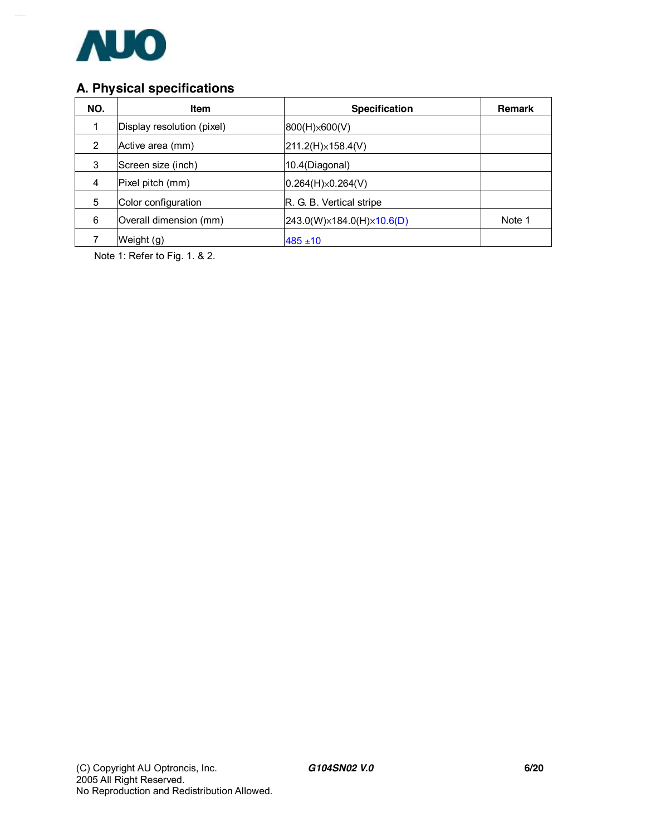

## **A. Physical specifications**

| NO.            | <b>Item</b>                | <b>Specification</b>                    | Remark |
|----------------|----------------------------|-----------------------------------------|--------|
|                | Display resolution (pixel) | 800(H)×600(V)                           |        |
| $\overline{2}$ | Active area (mm)           | $211.2(H) \times 158.4(V)$              |        |
| 3              | Screen size (inch)         | 10.4(Diagonal)                          |        |
| 4              | Pixel pitch (mm)           | $ 0.264(H)\times 0.264(V) $             |        |
| 5              | Color configuration        | R. G. B. Vertical stripe                |        |
| 6              | Overall dimension (mm)     | $243.0(W)\times 184.0(H)\times 10.6(D)$ | Note 1 |
|                | Weight (g)                 | $485 \pm 10$                            |        |

Note 1: Refer to Fig. 1. & 2.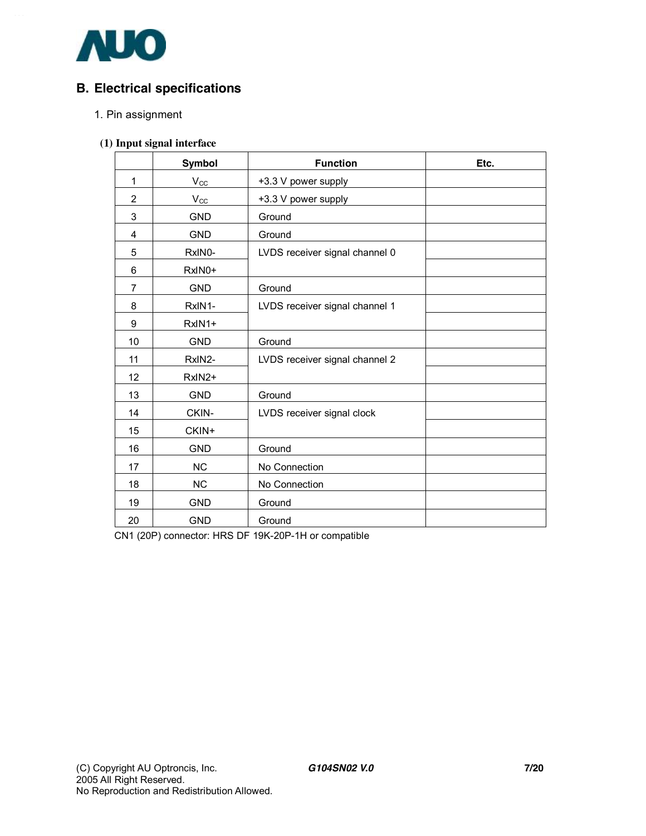

## **B. Electrical specifications**

#### 1. Pin assignment

#### **(1) Input signal interface**

|                | Symbol       | <b>Function</b>                | Etc. |
|----------------|--------------|--------------------------------|------|
| 1              | $V_{CC}$     | +3.3 V power supply            |      |
| $\overline{2}$ | $V_{\rm CC}$ | +3.3 V power supply            |      |
| 3              | <b>GND</b>   | Ground                         |      |
| 4              | <b>GND</b>   | Ground                         |      |
| 5              | RxIN0-       | LVDS receiver signal channel 0 |      |
| 6              | RxIN0+       |                                |      |
| $\overline{7}$ | <b>GND</b>   | Ground                         |      |
| 8              | RxIN1-       | LVDS receiver signal channel 1 |      |
| 9              | RxIN1+       |                                |      |
| 10             | <b>GND</b>   | Ground                         |      |
| 11             | RxIN2-       | LVDS receiver signal channel 2 |      |
| 12             | RxIN2+       |                                |      |
| 13             | <b>GND</b>   | Ground                         |      |
| 14             | CKIN-        | LVDS receiver signal clock     |      |
| 15             | CKIN+        |                                |      |
| 16             | <b>GND</b>   | Ground                         |      |
| 17             | <b>NC</b>    | No Connection                  |      |
| 18             | <b>NC</b>    | No Connection                  |      |
| 19             | <b>GND</b>   | Ground                         |      |
| 20             | <b>GND</b>   | Ground                         |      |

CN1 (20P) connector: HRS DF 19K-20P-1H or compatible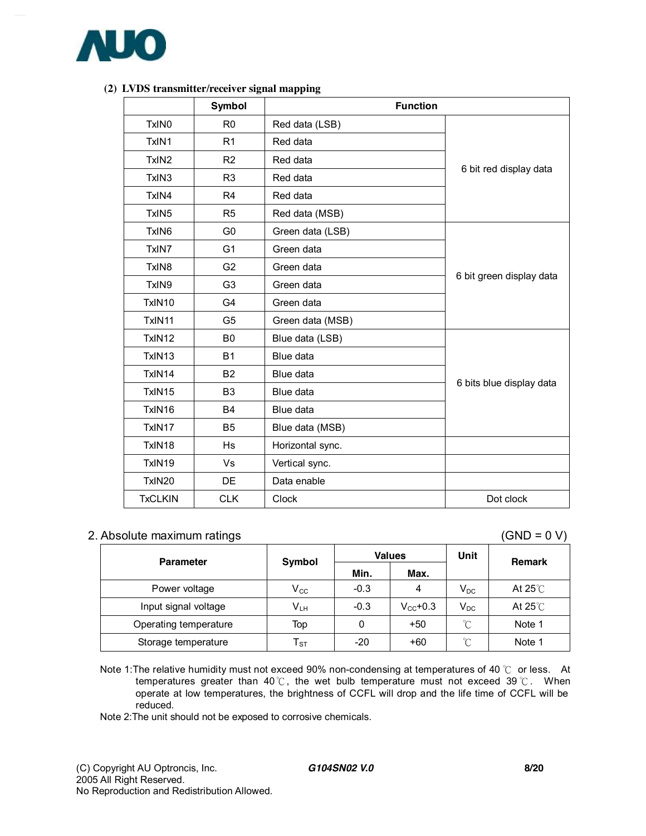

|                   | Symbol<br><b>Function</b> |                  |                          |  |  |  |  |  |
|-------------------|---------------------------|------------------|--------------------------|--|--|--|--|--|
| TxIN0             | R <sub>0</sub>            | Red data (LSB)   |                          |  |  |  |  |  |
| TxIN1             | R <sub>1</sub>            | Red data         |                          |  |  |  |  |  |
| TxIN <sub>2</sub> | R <sub>2</sub>            | Red data         |                          |  |  |  |  |  |
| TxIN3             | R <sub>3</sub>            | Red data         | 6 bit red display data   |  |  |  |  |  |
| TxIN4             | R <sub>4</sub>            | Red data         |                          |  |  |  |  |  |
| TxIN <sub>5</sub> | R <sub>5</sub>            | Red data (MSB)   |                          |  |  |  |  |  |
| TxIN6             | G <sub>0</sub>            | Green data (LSB) |                          |  |  |  |  |  |
| TxIN7             | G <sub>1</sub>            | Green data       |                          |  |  |  |  |  |
| TxIN <sub>8</sub> | G <sub>2</sub>            | Green data       | 6 bit green display data |  |  |  |  |  |
| TxIN9             | G <sub>3</sub>            | Green data       |                          |  |  |  |  |  |
| TxIN10            | G <sub>4</sub>            | Green data       |                          |  |  |  |  |  |
| TxIN11            | G <sub>5</sub>            | Green data (MSB) |                          |  |  |  |  |  |
| TxIN12            | B <sub>0</sub>            | Blue data (LSB)  |                          |  |  |  |  |  |
| TxIN13            | <b>B1</b>                 | Blue data        |                          |  |  |  |  |  |
| TxIN14            | B <sub>2</sub>            | Blue data        |                          |  |  |  |  |  |
| TxIN15            | B <sub>3</sub>            | Blue data        | 6 bits blue display data |  |  |  |  |  |
| TxIN16            | <b>B4</b>                 | Blue data        |                          |  |  |  |  |  |
| TxIN17            | B <sub>5</sub>            | Blue data (MSB)  |                          |  |  |  |  |  |
| TxIN18            | <b>Hs</b>                 | Horizontal sync. |                          |  |  |  |  |  |
| TxIN19            | Vs                        | Vertical sync.   |                          |  |  |  |  |  |
| TxIN20            | DE                        | Data enable      |                          |  |  |  |  |  |
| <b>TxCLKIN</b>    | <b>CLK</b>                | Clock            | Dot clock                |  |  |  |  |  |

#### **(2) LVDS transmitter/receiver signal mapping**

#### 2. Absolute maximum ratings (GND = 0 V)

| <b>Parameter</b>      | Symbol                     |        | <b>Values</b> | Unit     | <b>Remark</b>     |
|-----------------------|----------------------------|--------|---------------|----------|-------------------|
|                       |                            | Min.   | Max.          |          |                   |
| Power voltage         | $\mathsf{V}_{\mathsf{CC}}$ | $-0.3$ | 4             | $V_{DC}$ | At 25 $\degree$ C |
| Input signal voltage  | V <sub>LH</sub>            | $-0.3$ | $V_{cc}$ +0.3 | $V_{DC}$ | At 25 $\degree$ C |
| Operating temperature | Top                        |        | $+50$         | °C       | Note 1            |
| Storage temperature   | ${\sf T}_{\tt ST}$         | $-20$  | $+60$         | °C       | Note 1            |

Note 1: The relative humidity must not exceed 90% non-condensing at temperatures of 40 ℃ or less. At temperatures greater than 40℃, the wet bulb temperature must not exceed 39 ℃. When operate at low temperatures, the brightness of CCFL will drop and the life time of CCFL will be reduced.

Note 2:The unit should not be exposed to corrosive chemicals.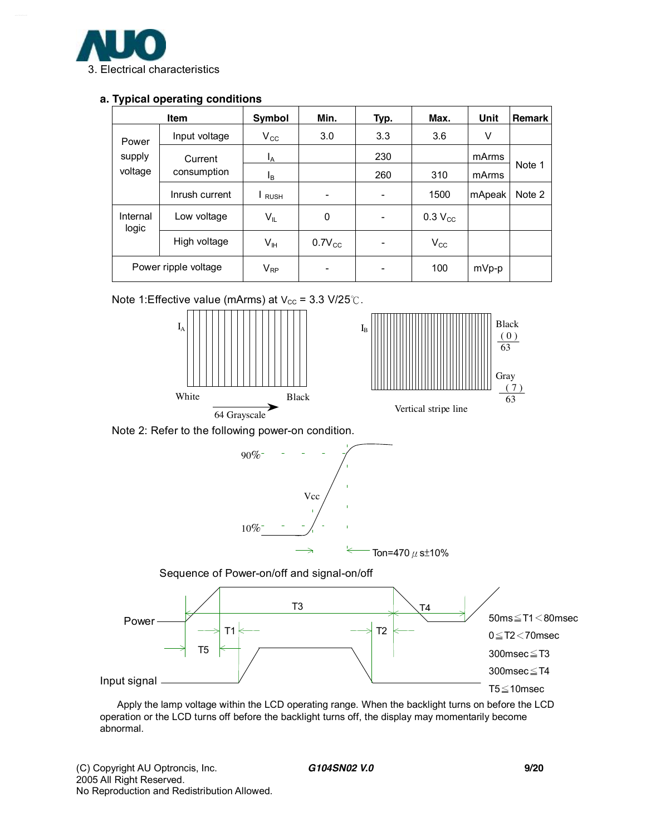

#### **a. Typical operating conditions**

| <b>Item</b>          |                | Symbol                     | Min.                     | Typ. | Max.         | Unit   | <b>Remark</b> |
|----------------------|----------------|----------------------------|--------------------------|------|--------------|--------|---------------|
| Power                | Input voltage  | $\rm V_{\rm CC}$           | 3.0                      | 3.3  | 3.6          | V      |               |
| supply               | Current        | Ι <sub>Α</sub>             |                          | 230  |              | mArms  |               |
| voltage              | consumption    | l <sub>B</sub>             |                          | 260  | 310          | mArms  | Note 1        |
|                      | Inrush current | <b>RUSH</b>                |                          |      | 1500         | mApeak | Note 2        |
| Internal<br>logic    | Low voltage    | $\mathsf{V}_{\mathsf{IL}}$ | 0                        | -    | $0.3 V_{CC}$ |        |               |
|                      | High voltage   | V <sub>IH</sub>            | $0.7V_{CC}$              |      | $V_{\rm CC}$ |        |               |
| Power ripple voltage |                | $V_{RP}$                   | $\overline{\phantom{0}}$ |      | 100          | mVp-p  |               |

Note 1:Effective value (mArms) at  $V_{\text{cc}}$  = 3.3 V/25℃.









 Apply the lamp voltage within the LCD operating range. When the backlight turns on before the LCD operation or the LCD turns off before the backlight turns off, the display may momentarily become abnormal.

( 0 ) 63

Gray ( 7 ) 63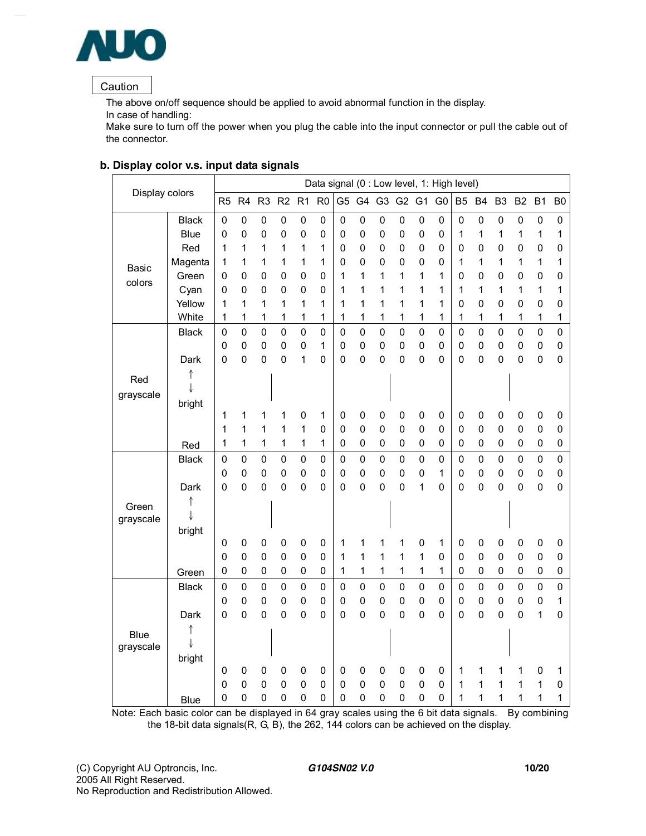

#### Caution

The above on/off sequence should be applied to avoid abnormal function in the display. In case of handling:

Make sure to turn off the power when you plug the cable into the input connector or pull the cable out of the connector.

|                |              |                  |                  |                          |                            |                            |                |                  |                        |                          |                            | Data signal (0 : Low level, 1: High level) |                  |                  |                  |                |                            |                |                          |
|----------------|--------------|------------------|------------------|--------------------------|----------------------------|----------------------------|----------------|------------------|------------------------|--------------------------|----------------------------|--------------------------------------------|------------------|------------------|------------------|----------------|----------------------------|----------------|--------------------------|
| Display colors |              | R <sub>5</sub>   | R <sub>4</sub>   | R <sub>3</sub>           | R <sub>2</sub>             | R <sub>1</sub>             | R <sub>0</sub> | G <sub>5</sub>   |                        | G4 G3 G2                 |                            | G <sub>1</sub>                             | G <sub>0</sub>   | <b>B5</b>        | <b>B4</b>        | B <sub>3</sub> | B <sub>2</sub>             | B <sub>1</sub> | B <sub>0</sub>           |
|                | <b>Black</b> | 0                | $\mathbf 0$      | $\pmb{0}$                | $\mathbf 0$                | $\pmb{0}$                  | $\pmb{0}$      | $\mathbf 0$      | $\pmb{0}$              | $\pmb{0}$                | $\mathbf 0$                | $\mathsf 0$                                | $\mathsf 0$      | $\mathbf 0$      | 0                | 0              | $\mathbf 0$                | $\pmb{0}$      | $\pmb{0}$                |
|                | <b>Blue</b>  | 0                | 0                | $\mathbf 0$              | $\mathbf 0$                | $\mathbf 0$                | 0              | 0                | 0                      | 0                        | $\mathbf 0$                | $\mathsf 0$                                | 0                | 1                | 1                | 1              | 1                          | 1              | 1                        |
|                | Red          | 1                | 1                | 1                        | 1                          | 1                          | 1              | 0                | 0                      | $\pmb{0}$                | 0                          | $\mathsf 0$                                | 0                | 0                | $\pmb{0}$        | 0              | $\mathbf 0$                | 0              | 0                        |
| Basic          | Magenta      | 1                | 1                | 1                        | 1                          | 1                          | 1              | 0                | 0                      | 0                        | 0                          | $\mathbf 0$                                | 0                | 1                | 1                | 1              | 1                          | 1              | 1                        |
| colors         | Green        | 0                | 0                | $\mathbf 0$              | $\mathbf 0$                | 0                          | 0              | 1                | 1                      | 1                        | 1                          | 1                                          | 1                | 0                | $\mathbf 0$      | 0              | 0                          | $\mathbf 0$    | 0                        |
|                | Cyan         | 0                | 0                | 0                        | $\mathbf 0$                | 0                          | 0              | 1                | 1                      | 1                        | 1                          | 1                                          | 1                | 1                | 1                | 1              | 1                          | 1              | 1                        |
|                | Yellow       | 1                | 1                | 1                        | 1                          | 1                          | 1              | 1                | 1                      | $\mathbf{1}$             | 1                          | $\mathbf 1$                                | 1                | 0                | $\mathbf 0$      | 0              | 0                          | $\mathbf 0$    | 0                        |
|                | White        | 1                | 1                | 1                        | 1                          | 1                          | 1              | 1                | 1                      | 1                        | 1                          | 1                                          | 1                | 1                | 1                | 1              | 1                          | 1              | 1                        |
|                | <b>Black</b> | $\mathbf 0$      | $\overline{0}$   | $\mathbf 0$              | $\mathbf 0$                | $\mathbf 0$                | 0              | 0                | $\mathbf 0$            | $\mathbf 0$              | $\mathbf 0$                | $\mathbf 0$                                | $\mathbf 0$      | $\mathbf 0$      | $\mathsf 0$      | 0              | $\mathbf 0$                | $\mathbf 0$    | $\mathbf 0$              |
|                |              | $\mathbf 0$      | $\mathbf 0$      | $\mathbf 0$              | $\mathbf 0$                | 0                          | 1              | 0                | $\pmb{0}$              | $\pmb{0}$                | $\mathbf 0$                | $\mathsf 0$                                | 0                | 0                | $\mathbf 0$      | 0              | $\mathbf 0$                | 0              | $\mathbf 0$              |
|                | Dark         | $\mathbf 0$      | $\overline{0}$   | $\mathbf 0$              | $\mathbf 0$                | 1                          | 0              | $\mathbf 0$      | 0                      | $\mathbf 0$              | $\mathbf 0$                | $\mathbf 0$                                | 0                | $\mathbf 0$      | $\mathbf 0$      | 0              | $\mathbf 0$                | 0              | $\mathbf 0$              |
| Red            |              |                  |                  |                          |                            |                            |                |                  |                        |                          |                            |                                            |                  |                  |                  |                |                            |                |                          |
| grayscale      |              |                  |                  |                          |                            |                            |                |                  |                        |                          |                            |                                            |                  |                  |                  |                |                            |                |                          |
|                | bright       |                  |                  |                          |                            |                            |                |                  |                        |                          |                            |                                            |                  |                  |                  |                |                            |                |                          |
|                |              | 1                | 1<br>1           | 1<br>1                   | 1<br>1                     | 0<br>1                     | 1<br>0         | 0<br>$\mathbf 0$ | $\pmb{0}$<br>$\pmb{0}$ | $\pmb{0}$<br>$\mathbf 0$ | $\mathbf 0$<br>$\mathbf 0$ | 0<br>$\mathsf 0$                           | 0<br>0           | 0<br>$\mathbf 0$ | 0<br>$\mathbf 0$ | 0              | $\mathbf 0$<br>$\mathbf 0$ | 0              | $\pmb{0}$<br>$\pmb{0}$   |
|                |              | 1<br>1           | 1                | 1                        | 1                          | 1                          | 1              | 0                | 0                      | 0                        | 0                          | $\mathbf 0$                                | 0                | $\mathbf 0$      | $\mathbf 0$      | 0<br>0         | $\mathbf 0$                | 0<br>0         | $\pmb{0}$                |
|                | Red          |                  |                  |                          |                            |                            |                |                  |                        |                          |                            |                                            |                  |                  |                  |                |                            |                |                          |
|                | <b>Black</b> | 0                | $\mathbf 0$      | $\mathsf 0$              | $\mathbf 0$                | 0                          | $\pmb{0}$      | 0<br>0           | $\mathbf 0$            | $\pmb{0}$                | $\mathbf 0$                | $\mathsf 0$                                | $\mathbf 0$<br>1 | 0                | 0                | 0              | $\mathbf 0$                | $\mathsf 0$    | $\mathbf 0$              |
|                |              | $\mathbf 0$<br>0 | $\mathbf 0$<br>0 | $\pmb{0}$<br>$\mathbf 0$ | $\mathbf 0$<br>$\mathbf 0$ | $\mathbf 0$<br>$\mathbf 0$ | 0              | 0                | 0                      | $\pmb{0}$<br>$\mathbf 0$ | $\mathbf 0$<br>$\mathbf 0$ | $\mathbf 0$                                | 0                | $\mathbf 0$      | 0<br>$\mathbf 0$ | 0              | $\pmb{0}$                  | $\pmb{0}$<br>0 | $\pmb{0}$<br>$\mathbf 0$ |
|                | Dark         |                  |                  |                          |                            |                            | 0              |                  | 0                      |                          |                            | 1                                          |                  | 0                |                  | 0              | 0                          |                |                          |
| Green          |              |                  |                  |                          |                            |                            |                |                  |                        |                          |                            |                                            |                  |                  |                  |                |                            |                |                          |
| grayscale      |              |                  |                  |                          |                            |                            |                |                  |                        |                          |                            |                                            |                  |                  |                  |                |                            |                |                          |
|                | bright       | 0                | $\pmb{0}$        | $\pmb{0}$                | $\mathbf 0$                | 0                          | 0              | 1                | 1                      | 1                        | 1                          | $\pmb{0}$                                  | 1                | $\pmb{0}$        | $\pmb{0}$        | 0              | 0                          | 0              | $\mathbf 0$              |
|                |              | $\mathbf 0$      | $\mathbf 0$      | $\mathbf 0$              | $\mathbf 0$                | 0                          | 0              | 1                | 1                      | 1                        | 1                          | 1                                          | 0                | 0                | $\mathbf 0$      | 0              | $\mathbf 0$                | 0              | $\pmb{0}$                |
|                | Green        | 0                | 0                | $\pmb{0}$                | $\mathbf 0$                | 0                          | 0              | 1                | 1                      | 1                        | 1                          | 1                                          | 1                | 0                | $\mathbf 0$      | 0              | $\mathbf 0$                | $\pmb{0}$      | $\mathbf 0$              |
|                | <b>Black</b> | $\mathbf 0$      | $\mathbf 0$      | $\mathbf 0$              | $\pmb{0}$                  | $\mathbf 0$                | $\mathbf 0$    | 0                | $\mathbf 0$            | $\mathbf 0$              | $\mathbf 0$                | $\mathbf 0$                                | 0                | $\mathbf 0$      | $\mathbf 0$      | 0              | $\mathbf 0$                | $\mathbf 0$    | $\mathbf 0$              |
|                |              | $\mathbf 0$      | $\mathbf 0$      | $\mathbf 0$              | $\mathbf 0$                | 0                          | 0              | 0                | $\pmb{0}$              | $\pmb{0}$                | $\mathbf 0$                | $\mathsf{O}\xspace$                        | 0                | 0                | 0                | 0              | $\mathbf 0$                | 0              | 1                        |
|                | Dark         | $\mathbf 0$      | $\overline{0}$   | $\mathbf 0$              | $\mathbf 0$                | $\mathbf 0$                | 0              | 0                | 0                      | 0                        | $\mathbf 0$                | $\mathbf 0$                                | 0                | 0                | $\mathbf 0$      | 0              | 0                          | 1              | 0                        |
|                |              |                  |                  |                          |                            |                            |                |                  |                        |                          |                            |                                            |                  |                  |                  |                |                            |                |                          |
| <b>Blue</b>    |              |                  |                  |                          |                            |                            |                |                  |                        |                          |                            |                                            |                  |                  |                  |                |                            |                |                          |
| grayscale      | bright       |                  |                  |                          |                            |                            |                |                  |                        |                          |                            |                                            |                  |                  |                  |                |                            |                |                          |
|                |              | 0                | $\pmb{0}$        | $\pmb{0}$                | $\mathbf 0$                | 0                          | 0              | 0                | 0                      | $\mathbf 0$              | $\mathbf 0$                | 0                                          | 0                | 1                | 1                | 1              | 1                          | 0              | 1                        |
|                |              | $\mathbf 0$      | $\mathbf 0$      | 0                        | $\mathbf 0$                | 0                          | 0              | 0                | 0                      | $\pmb{0}$                | $\mathbf 0$                | $\mathbf 0$                                | 0                | 1                | 1                | 1              | 1                          | 1              | 0                        |
|                | Blue         | 0                | 0                | $\mathbf 0$              | 0                          | 0                          | 0              | 0                | 0                      | 0                        | 0                          | $\mathbf 0$                                | 0                | 1                | 1                | 1              | 1                          | 1              | 1                        |

#### **b. Display color v.s. input data signals**

Note: Each basic color can be displayed in 64 gray scales using the 6 bit data signals. By combining the 18-bit data signals(R, G, B), the 262, 144 colors can be achieved on the display.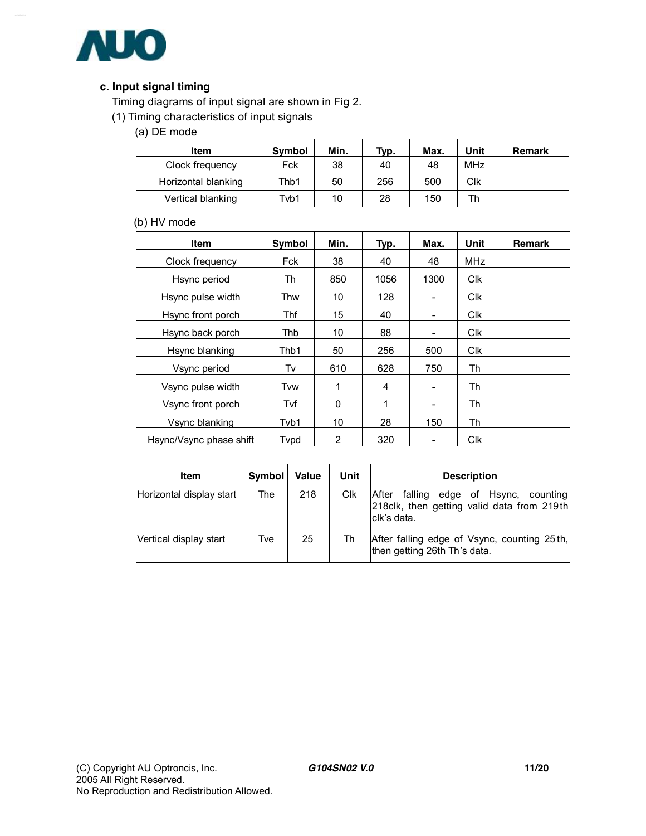

#### **c. Input signal timing**

Timing diagrams of input signal are shown in Fig 2.

(1) Timing characteristics of input signals

(a) DE mode

| Item                | Symbol | Min. | Typ. | Max. | Unit       | Remark |
|---------------------|--------|------|------|------|------------|--------|
| Clock frequency     | Fck    | 38   | 40   | 48   | <b>MHz</b> |        |
| Horizontal blanking | Thb1   | 50   | 256  | 500  | Clk        |        |
| Vertical blanking   | Tvb1   | 10   | 28   | 150  | Th         |        |

#### (b) HV mode

| <b>Item</b>             | Symbol | Min. | Typ. | Max.                     | Unit       | <b>Remark</b> |
|-------------------------|--------|------|------|--------------------------|------------|---------------|
| Clock frequency         | Fck    | 38   | 40   | 48                       | MHz        |               |
| Hsync period            | Th     | 850  | 1056 | 1300                     | <b>Clk</b> |               |
| Hsync pulse width       | Thw    | 10   | 128  | ۰                        | <b>Clk</b> |               |
| Hsync front porch       | Thf    | 15   | 40   | ۰                        | <b>CIK</b> |               |
| Hsync back porch        | Thb    | 10   | 88   | -                        | <b>CIK</b> |               |
| Hsync blanking          | Thb1   | 50   | 256  | 500                      | <b>Clk</b> |               |
| Vsync period            | Tv     | 610  | 628  | 750                      | Th         |               |
| Vsync pulse width       | Tvw    | 1    | 4    | $\overline{\phantom{a}}$ | Th         |               |
| Vsync front porch       | Tvf    | 0    | 1    | $\overline{\phantom{a}}$ | Th         |               |
| Vsync blanking          | Tvb1   | 10   | 28   | 150                      | Th         |               |
| Hsync/Vsync phase shift | Typd   | 2    | 320  |                          | <b>CIK</b> |               |

| <b>Item</b>              | Symbol | Value | Unit | <b>Description</b>                                                                                     |
|--------------------------|--------|-------|------|--------------------------------------------------------------------------------------------------------|
| Horizontal display start | The    | 218   | Clk  | falling edge of Hsync, counting<br>After<br>218clk, then getting valid data from 219th<br>Iclk's data. |
| Vertical display start   | Tve    | 25    | Th   | After falling edge of Vsync, counting 25th,<br>then getting 26th Th's data.                            |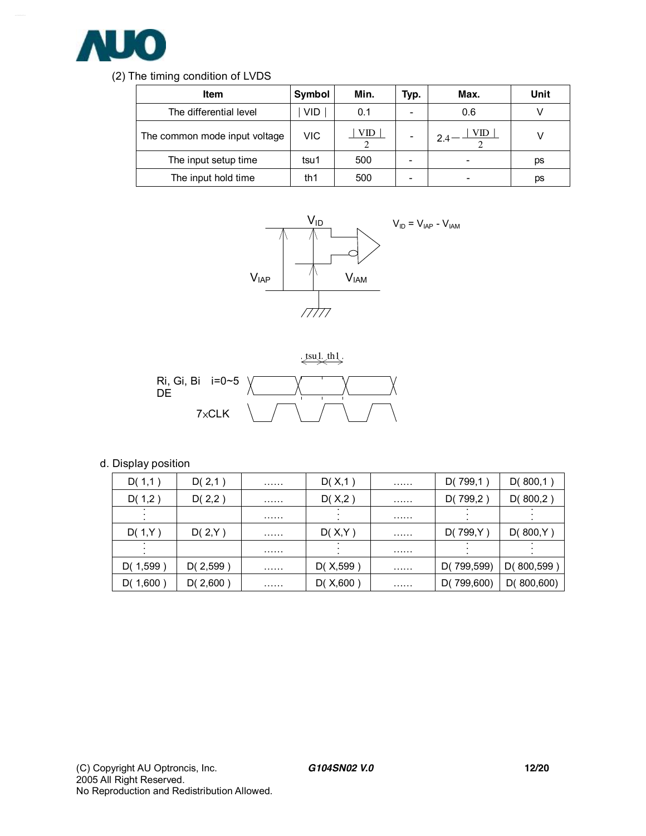

#### (2) The timing condition of LVDS

| <b>Item</b>                   | Symbol     | Min. | Typ. | Max. | Unit |
|-------------------------------|------------|------|------|------|------|
| The differential level        | <b>VID</b> | 0.1  | ۰    | 0.6  |      |
| The common mode input voltage | VIC        | VID  |      | VID  |      |
| The input setup time          | tsu1       | 500  | -    |      | рs   |
| The input hold time           | th1        | 500  | -    |      | рs   |





#### d. Display position

| D(1,1)   | D(2,1)   | . | D(X, 1)   | . | D(799,1)   | D(800,1)   |
|----------|----------|---|-----------|---|------------|------------|
| D(1,2)   | D(2,2)   | . | D(X,2)    | . | D(799,2)   | D(800,2)   |
|          |          | . |           | . |            |            |
| D(1,Y)   | D(2,Y)   | . | D(X,Y)    | . | D(799,Y)   | D(800,Y)   |
|          |          | . |           | . |            |            |
| D(1,599) | D(2,599) | . | D(X, 599) | . | D(799,599) | D(800,599  |
| D(1,600) | D(2,600) | . | D(X, 600) | . | D(799,600) | D(800,600) |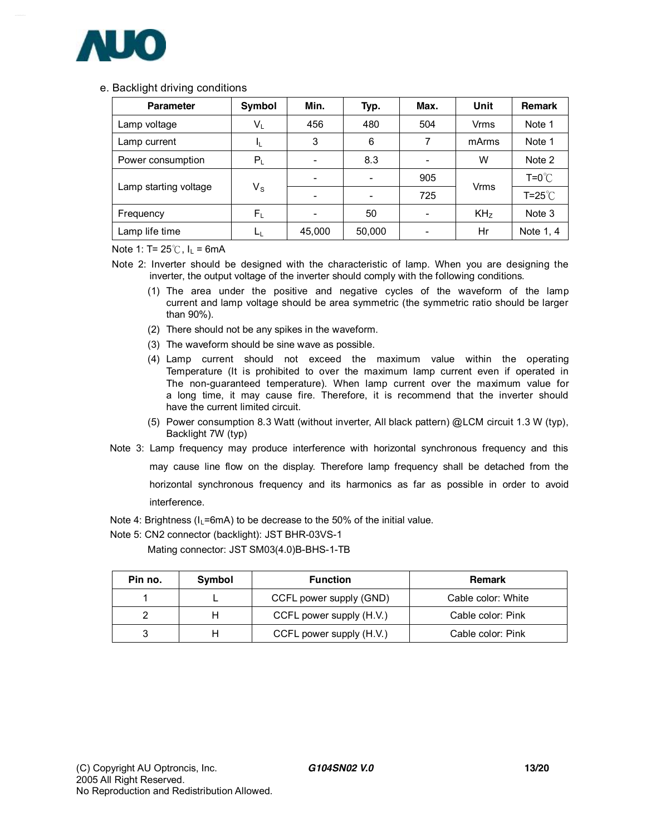

#### e. Backlight driving conditions

| <b>Parameter</b>      | Symbol                  | Min.   | Typ.   | Max. | Unit            | <b>Remark</b>          |
|-----------------------|-------------------------|--------|--------|------|-----------------|------------------------|
| Lamp voltage          | $\sf V_L$               | 456    | 480    | 504  | Vrms            | Note 1                 |
| Lamp current          |                         | 3      | 6      | 7    | mArms           | Note 1                 |
| Power consumption     | $\mathsf{P}_\mathsf{L}$ |        | 8.3    |      | W               | Note 2                 |
|                       |                         |        |        | 905  |                 | $T = 0^\circ \text{C}$ |
| Lamp starting voltage | $\mathsf{V}_\mathsf{S}$ |        |        | 725  | <b>Vrms</b>     | $T = 25^{\circ}$       |
| Frequency             | $F_L$                   |        | 50     | ٠    | KH <sub>z</sub> | Note 3                 |
| Lamp life time        | ட                       | 45,000 | 50,000 | -    | Hr              | Note 1, 4              |

Note 1: T=  $25^{\circ}$ C, I<sub>L</sub> = 6mA

- Note 2: Inverter should be designed with the characteristic of lamp. When you are designing the inverter, the output voltage of the inverter should comply with the following conditions.
	- (1) The area under the positive and negative cycles of the waveform of the lamp current and lamp voltage should be area symmetric (the symmetric ratio should be larger than 90%).
	- (2) There should not be any spikes in the waveform.
	- (3) The waveform should be sine wave as possible.
	- (4) Lamp current should not exceed the maximum value within the operating Temperature (It is prohibited to over the maximum lamp current even if operated in The non-guaranteed temperature). When lamp current over the maximum value for a long time, it may cause fire. Therefore, it is recommend that the inverter should have the current limited circuit.
	- (5) Power consumption 8.3 Watt (without inverter, All black pattern) @LCM circuit 1.3 W (typ), Backlight 7W (typ)
- Note 3: Lamp frequency may produce interference with horizontal synchronous frequency and this may cause line flow on the display. Therefore lamp frequency shall be detached from the horizontal synchronous frequency and its harmonics as far as possible in order to avoid interference.
- Note 4: Brightness ( $I_1$ =6mA) to be decrease to the 50% of the initial value.
- Note 5: CN2 connector (backlight): JST BHR-03VS-1

Mating connector: JST SM03(4.0)B-BHS-1-TB

| Pin no. | Symbol | <b>Function</b>          | <b>Remark</b>      |
|---------|--------|--------------------------|--------------------|
|         |        | CCFL power supply (GND)  | Cable color: White |
|         |        | CCFL power supply (H.V.) | Cable color: Pink  |
| 3       |        | CCFL power supply (H.V.) | Cable color: Pink  |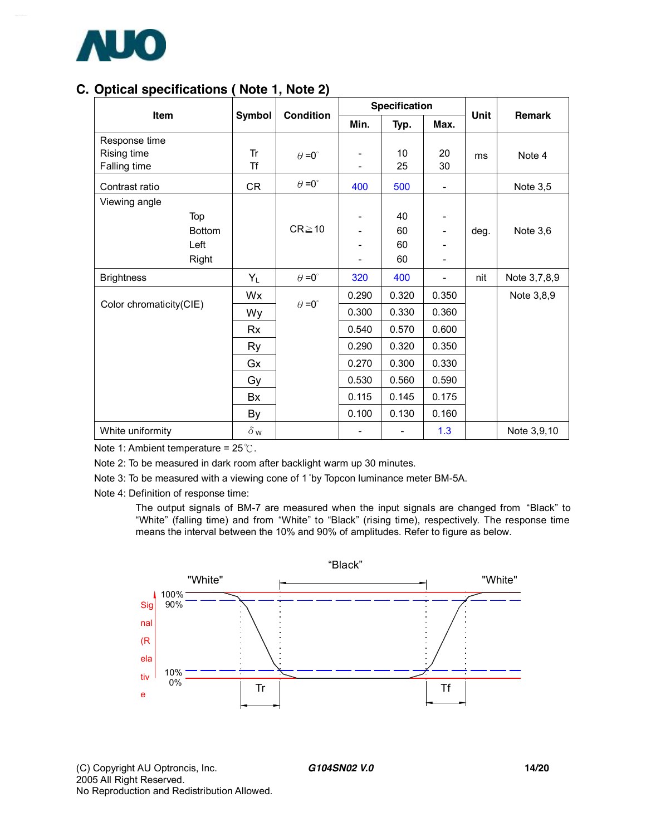

## **C. Optical specifications ( Note 1, Note 2)**

| Item                    |            | <b>Condition</b>     |       | <b>Specification</b>     | Unit                     | <b>Remark</b> |              |
|-------------------------|------------|----------------------|-------|--------------------------|--------------------------|---------------|--------------|
|                         | Symbol     |                      | Min.  | Typ.                     | Max.                     |               |              |
| Response time           |            |                      |       |                          |                          |               |              |
| Rising time             | Tr         | $\theta = 0^{\circ}$ |       | 10                       | 20                       | ms            | Note 4       |
| Falling time            | <b>Tf</b>  |                      |       | 25                       | 30                       |               |              |
| Contrast ratio          | CR         | $\theta = 0^{\circ}$ | 400   | 500                      | $\overline{\phantom{a}}$ |               | Note 3,5     |
| Viewing angle           |            |                      |       |                          |                          |               |              |
| Top                     |            |                      |       | 40                       |                          |               |              |
| <b>Bottom</b>           |            | $CR \ge 10$          |       | 60                       | -                        | deg.          | Note $3,6$   |
| Left                    |            |                      |       | 60                       |                          |               |              |
| Right                   |            |                      |       | 60                       | -                        |               |              |
| <b>Brightness</b>       | $Y_L$      | $\theta = 0^{\circ}$ | 320   | 400                      | -                        | nit           | Note 3,7,8,9 |
|                         | Wx         |                      | 0.290 | 0.320                    | 0.350                    |               | Note 3,8,9   |
| Color chromaticity(CIE) | Wy         | $\theta = 0^{\circ}$ | 0.300 | 0.330                    | 0.360                    |               |              |
|                         | Rx         |                      | 0.540 | 0.570                    | 0.600                    |               |              |
|                         | Ry         |                      | 0.290 | 0.320                    | 0.350                    |               |              |
|                         | Gx         |                      | 0.270 | 0.300                    | 0.330                    |               |              |
|                         | Gy         |                      | 0.530 | 0.560                    | 0.590                    |               |              |
|                         | Bx         |                      | 0.115 | 0.145                    | 0.175                    |               |              |
|                         | By         |                      | 0.100 | 0.130                    | 0.160                    |               |              |
| White uniformity        | $\delta$ w |                      |       | $\overline{\phantom{a}}$ | 1.3                      |               | Note 3,9,10  |

Note 1: Ambient temperature = 25℃.

Note 2: To be measured in dark room after backlight warm up 30 minutes.

Note 3: To be measured with a viewing cone of 1 °by Topcon luminance meter BM-5A.

Note 4: Definition of response time:

The output signals of BM-7 are measured when the input signals are changed from "Black" to "White" (falling time) and from "White" to "Black" (rising time), respectively. The response time means the interval between the 10% and 90% of amplitudes. Refer to figure as below.

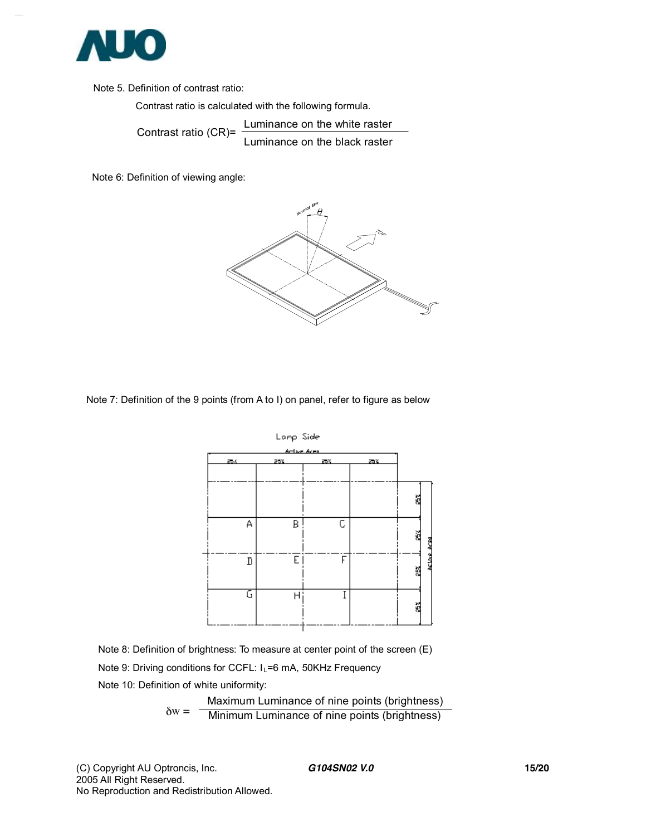

Note 5. Definition of contrast ratio:

Contrast ratio is calculated with the following formula.

Contrast ratio (CR)= Luminance on the white raster Luminance on the black raster

Note 6: Definition of viewing angle:



Note 7: Definition of the 9 points (from A to I) on panel, refer to figure as below



Note 8: Definition of brightness: To measure at center point of the screen (E) Note 9: Driving conditions for CCFL: I<sub>L</sub>=6 mA, 50KHz Frequency Note 10: Definition of white uniformity:

$$
\delta w = \frac{\text{Maximum Luminance of nine points (brightness)}{\text{Minimum Luminance of nine points (brightness)}}
$$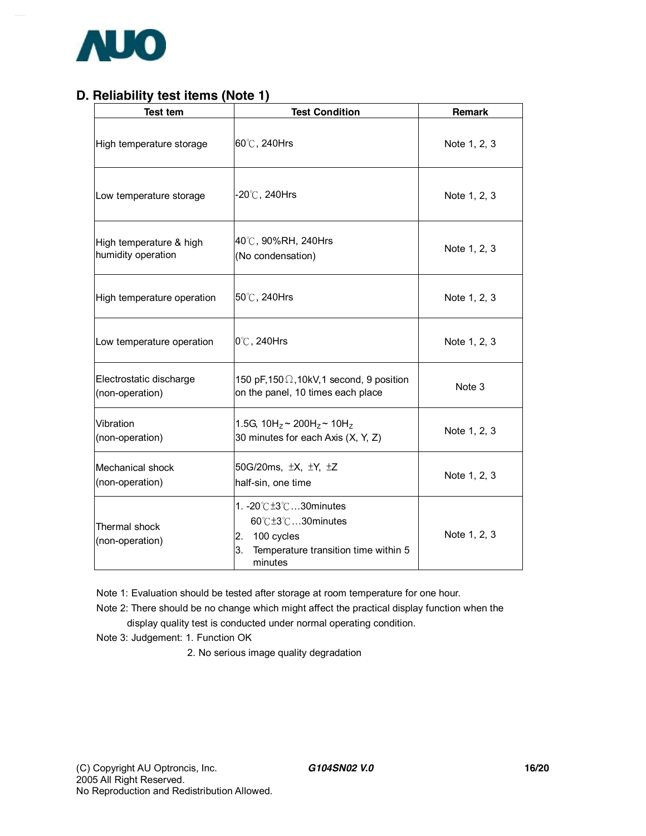

## **D. Reliability test items (Note 1)**

| <b>Test tem</b>                               | <b>Test Condition</b>                                                                                               | Remark       |
|-----------------------------------------------|---------------------------------------------------------------------------------------------------------------------|--------------|
| High temperature storage                      | 60°C, 240Hrs                                                                                                        | Note 1, 2, 3 |
| Low temperature storage                       | $-20^{\circ}$ C, 240Hrs                                                                                             | Note 1, 2, 3 |
| High temperature & high<br>humidity operation | 40℃, 90%RH, 240Hrs<br>(No condensation)                                                                             | Note 1, 2, 3 |
| High temperature operation                    | 50℃, 240Hrs                                                                                                         | Note 1, 2, 3 |
| Low temperature operation                     | $0^{\circ}$ C, 240Hrs                                                                                               | Note 1, 2, 3 |
| Electrostatic discharge<br>(non-operation)    | 150 pF, 150 $\Omega$ , 10kV, 1 second, 9 position<br>on the panel, 10 times each place                              | Note 3       |
| Vibration<br>(non-operation)                  | 1.5G, $10H_z \sim 200H_z \sim 10H_z$<br>30 minutes for each Axis (X, Y, Z)                                          | Note 1, 2, 3 |
| Mechanical shock<br>(non-operation)           | 50G/20ms, ±X, ±Y, ±Z<br>half-sin, one time                                                                          | Note 1, 2, 3 |
| Thermal shock<br>(non-operation)              | 1. -20℃±3℃30minutes<br>60℃±3℃30minutes<br>100 cycles<br>2.<br>3.<br>Temperature transition time within 5<br>minutes | Note 1, 2, 3 |

Note 1: Evaluation should be tested after storage at room temperature for one hour.

Note 2: There should be no change which might affect the practical display function when the display quality test is conducted under normal operating condition.

Note 3: Judgement: 1. Function OK

2. No serious image quality degradation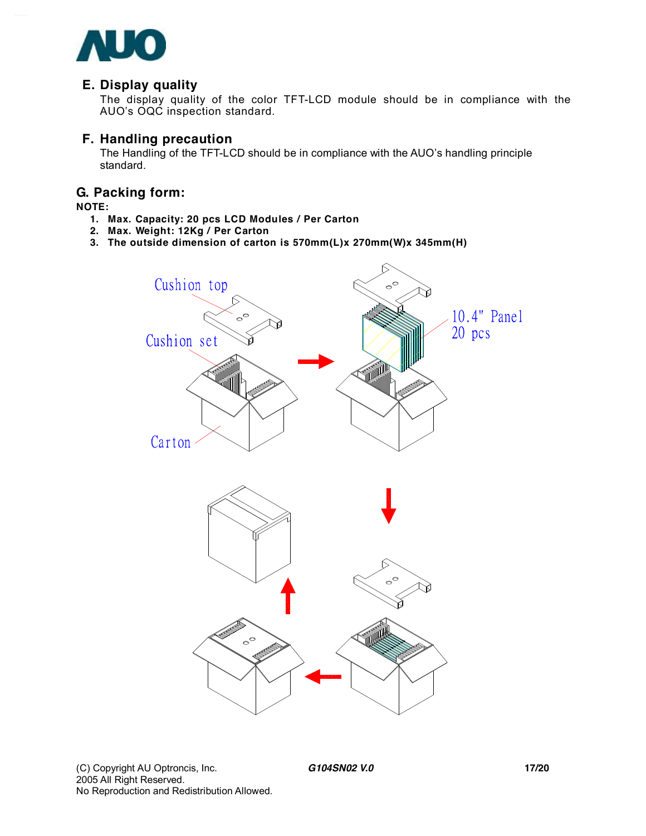

#### **E. Display quality**

The display quality of the color TFT-LCD module should be in compliance with the AUO's OQC inspection standard.

#### **F. Handling precaution**

The Handling of the TFT-LCD should be in compliance with the AUO's handling principle standard.

#### **G. Packing form:**

#### **NOTE:**

- **1. Max. Capacity: 20 pcs LCD Modules / Per Carton**
- **2. Max. Weight: 12Kg / Per Carton**
- **3. The outside dimension of carton is 570mm(L)x 270mm(W)x 345mm(H)**

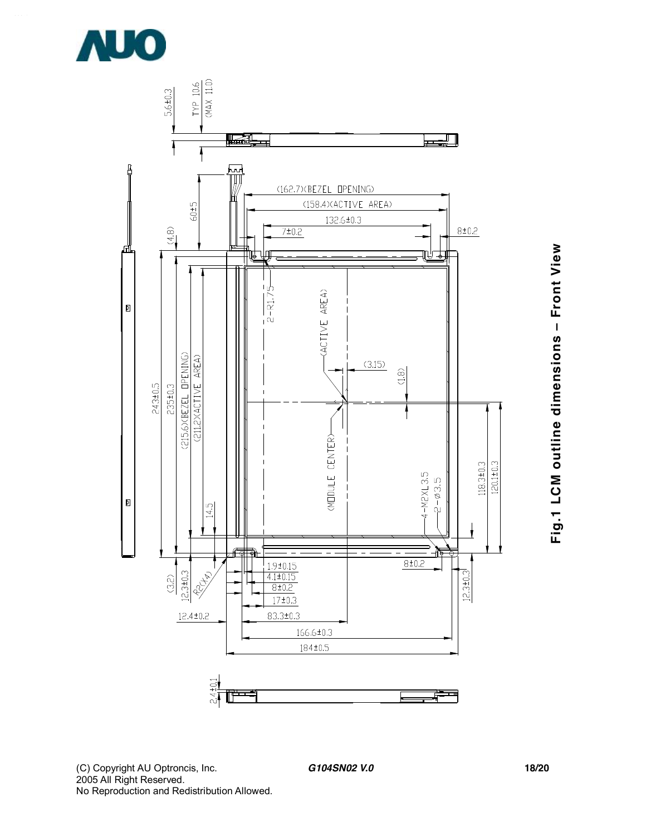



(C) Copyright AU Optroncis, Inc.<br>2005 All Right Reserved. No Reproduction and Redistribution Allowed.

G104SN02 V.0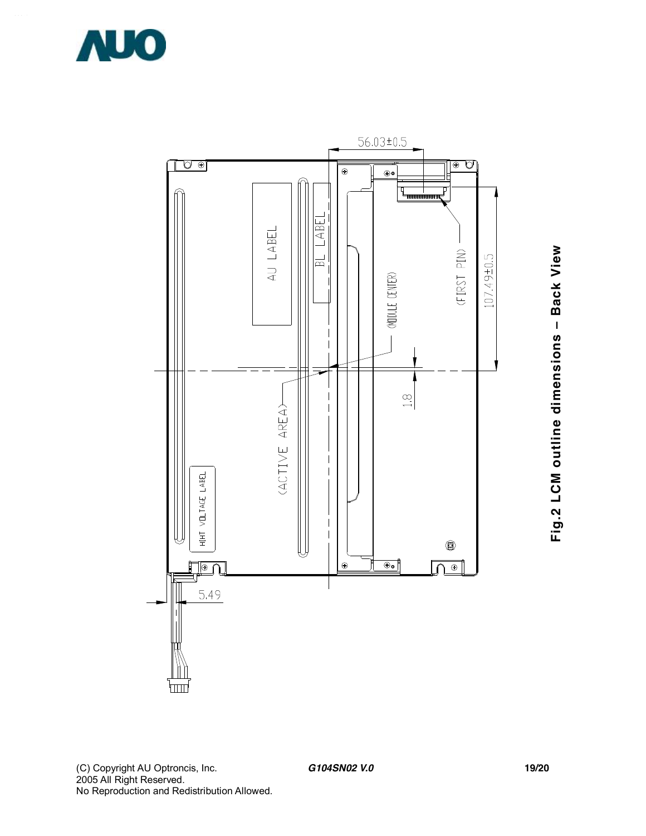